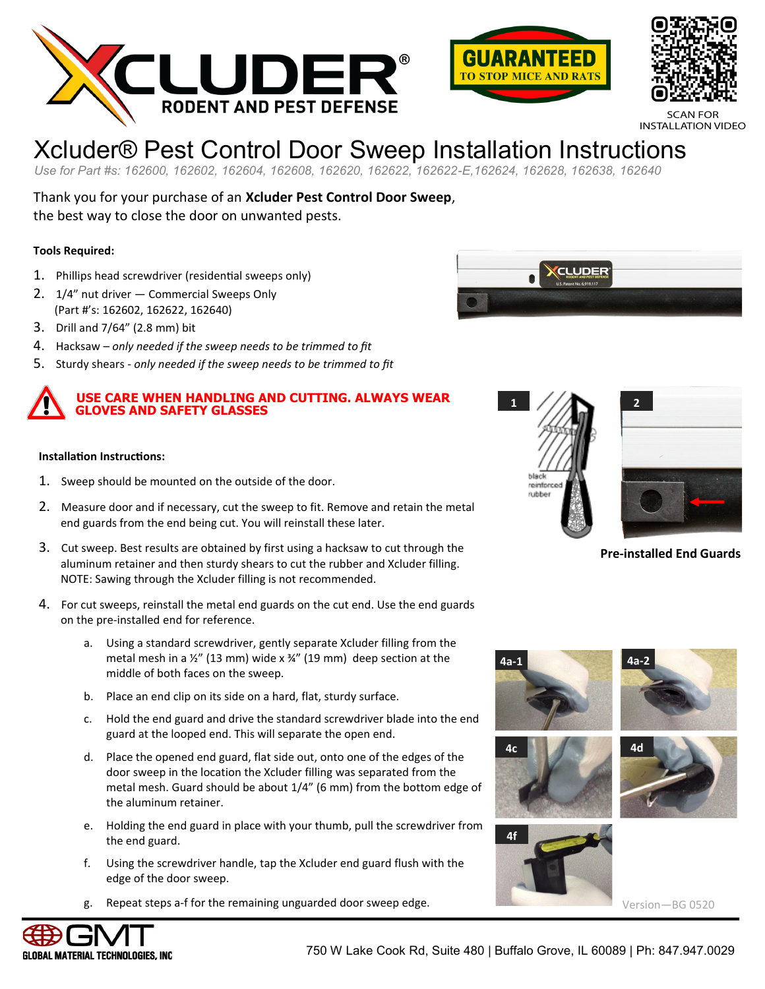





SCAN FOR INSTALLATION VIDEO

# Xcluder® Pest Control Door Sweep Installation Instructions

*Use for Part #s: 162600, 162602, 162604, 162608, 162620, 162622, 162622-E,162624, 162628, 162638, 162640*

Thank you for your purchase of an **Xcluder Pest Control Door Sweep**, the best way to close the door on unwanted pests.

### **Tools Required:**

- 1. Phillips head screwdriver (residential sweeps only)
- 2. 1/4" nut driver Commercial Sweeps Only (Part #'s: 162602, 162622, 162640)
- 3. Drill and 7/64" (2.8 mm) bit
- 4. Hacksaw *only needed if the sweep needs to be trimmed to fit*
- 5. Sturdy shears *only needed if the sweep needs to be trimmed to fit*



#### **Installation Instructions:**

- 1. Sweep should be mounted on the outside of the door.
- 2. Measure door and if necessary, cut the sweep to fit. Remove and retain the metal end guards from the end being cut. You will reinstall these later.
- 3. Cut sweep. Best results are obtained by first using a hacksaw to cut through the aluminum retainer and then sturdy shears to cut the rubber and Xcluder filling. NOTE: Sawing through the Xcluder filling is not recommended.
- 4. For cut sweeps, reinstall the metal end guards on the cut end. Use the end guards on the pre-installed end for reference.
	- a. Using a standard screwdriver, gently separate Xcluder filling from the metal mesh in a  $\frac{1}{2}$ " (13 mm) wide x  $\frac{3}{4}$ " (19 mm) deep section at the middle of both faces on the sweep.
	- b. Place an end clip on its side on a hard, flat, sturdy surface.
	- c. Hold the end guard and drive the standard screwdriver blade into the end guard at the looped end. This will separate the open end.
	- d. Place the opened end guard, flat side out, onto one of the edges of the door sweep in the location the Xcluder filling was separated from the metal mesh. Guard should be about 1/4" (6 mm) from the bottom edge of the aluminum retainer.
	- e. Holding the end guard in place with your thumb, pull the screwdriver from the end guard.
	- f. Using the screwdriver handle, tap the Xcluder end guard flush with the edge of the door sweep.
	- g. Repeat steps a-f for the remaining unguarded door sweep edge.







**Pre-installed End Guards**